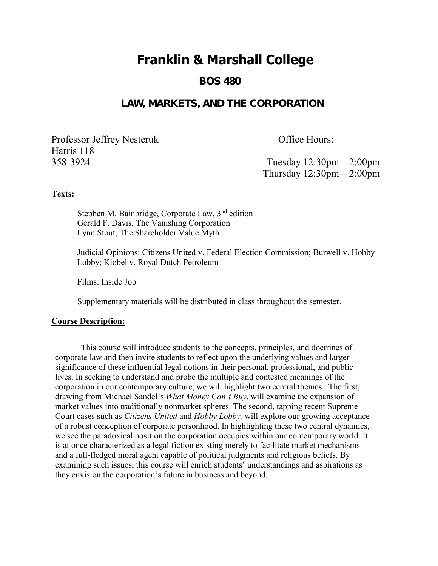# **Franklin & Marshall College**

 **BOS 480**

# **LAW, MARKETS, AND THE CORPORATION**

Professor Jeffrey Nesteruk **Office Hours: Harris 118**

**358-3924 Tuesday 12:30pm – 2:00pm Thursday 12:30pm – 2:00pm**

### **Texts:**

**Stephen M. Bainbridge, Corporate Law, 3nd edition Gerald F. Davis, The Vanishing Corporation Lynn Stout, The Shareholder Value Myth**

**Judicial Opinions: Citizens United v. Federal Election Commission; Burwell v. Hobby Lobby; Kiobel v. Royal Dutch Petroleum**

**Films: Inside Job**

**Supplementary materials will be distributed in class throughout the semester.** 

#### **Course Description:**

**This course will introduce students to the concepts, principles, and doctrines of corporate law and then invite students to reflect upon the underlying values and larger significance of these influential legal notions in their personal, professional, and public lives. In seeking to understand and probe the multiple and contested meanings of the corporation in our contemporary culture, we will highlight two central themes. The first, drawing from Michael Sandel's** *What Money Can't Buy***, will examine the expansion of market values into traditionally nonmarket spheres. The second, tapping recent Supreme Court cases such as** *Citizens United* **and** *Hobby Lobby,* **will explore our growing acceptance of a robust conception of corporate personhood. In highlighting these two central dynamics, we see the paradoxical position the corporation occupies within our contemporary world. It is at once characterized as a legal fiction existing merely to facilitate market mechanisms and a full-fledged moral agent capable of political judgments and religious beliefs. By examining such issues, this course will enrich students' understandings and aspirations as they envision the corporation's future in business and beyond.**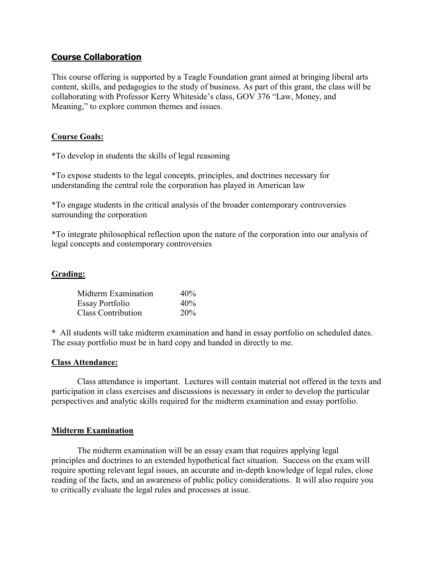# **Course Collaboration**

**This course offering is supported by a Teagle Foundation grant aimed at bringing liberal arts content, skills, and pedagogies to the study of business. As part of this grant, the class will be collaborating with Professor Kerry Whiteside's class, GOV 376 "Law, Money, and Meaning," to explore common themes and issues.**

# **Course Goals:**

**\*To develop in students the skills of legal reasoning**

**\*To expose students to the legal concepts, principles, and doctrines necessary for understanding the central role the corporation has played in American law** 

**\*To engage students in the critical analysis of the broader contemporary controversies surrounding the corporation**

**\*To integrate philosophical reflection upon the nature of the corporation into our analysis of legal concepts and contemporary controversies** 

#### **Grading:**

| Midterm Examination       | 40% |
|---------------------------|-----|
| <b>Essay Portfolio</b>    | 40% |
| <b>Class Contribution</b> | 20% |

**\* All students will take midterm examination and hand in essay portfolio on scheduled dates. The essay portfolio must be in hard copy and handed in directly to me.** 

#### **Class Attendance:**

**Class attendance is important. Lectures will contain material not offered in the texts and participation in class exercises and discussions is necessary in order to develop the particular perspectives and analytic skills required for the midterm examination and essay portfolio.**

#### **Midterm Examination**

**The midterm examination will be an essay exam that requires applying legal principles and doctrines to an extended hypothetical fact situation. Success on the exam will require spotting relevant legal issues, an accurate and in-depth knowledge of legal rules, close reading of the facts, and an awareness of public policy considerations. It will also require you to critically evaluate the legal rules and processes at issue.**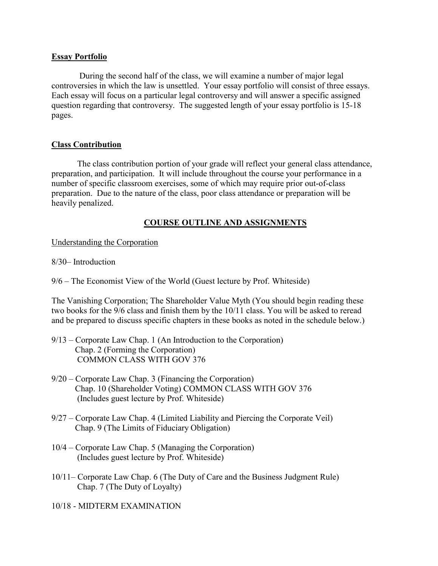#### **Essay Portfolio**

 **During the second half of the class, we will examine a number of major legal controversies in which the law is unsettled. Your essay portfolio will consist of three essays. Each essay will focus on a particular legal controversy and will answer a specific assigned question regarding that controversy. The suggested length of your essay portfolio is 15-18 pages.**

#### **Class Contribution**

**The class contribution portion of your grade will reflect your general class attendance, preparation, and participation. It will include throughout the course your performance in a number of specific classroom exercises, some of which may require prior out-of-class preparation. Due to the nature of the class, poor class attendance or preparation will be heavily penalized.**

# **COURSE OUTLINE AND ASSIGNMENTS**

#### **Understanding the Corporation**

#### **8/30– Introduction**

**9/6 – The Economist View of the World (Guest lecture by Prof. Whiteside)**

**The Vanishing Corporation; The Shareholder Value Myth (You should begin reading these two books for the 9/6 class and finish them by the 10/11 class. You will be asked to reread and be prepared to discuss specific chapters in these books as noted in the schedule below.)**

- **9/13 – Corporate Law Chap. 1 (An Introduction to the Corporation) Chap. 2 (Forming the Corporation) COMMON CLASS WITH GOV 376**
- **9/20 – Corporate Law Chap. 3 (Financing the Corporation) Chap. 10 (Shareholder Voting) COMMON CLASS WITH GOV 376 (Includes guest lecture by Prof. Whiteside)**
- **9/27 – Corporate Law Chap. 4 (Limited Liability and Piercing the Corporate Veil) Chap. 9 (The Limits of Fiduciary Obligation)**
- **10/4 – Corporate Law Chap. 5 (Managing the Corporation) (Includes guest lecture by Prof. Whiteside)**
- **10/11– Corporate Law Chap. 6 (The Duty of Care and the Business Judgment Rule) Chap. 7 (The Duty of Loyalty)**

#### **10/18 - MIDTERM EXAMINATION**